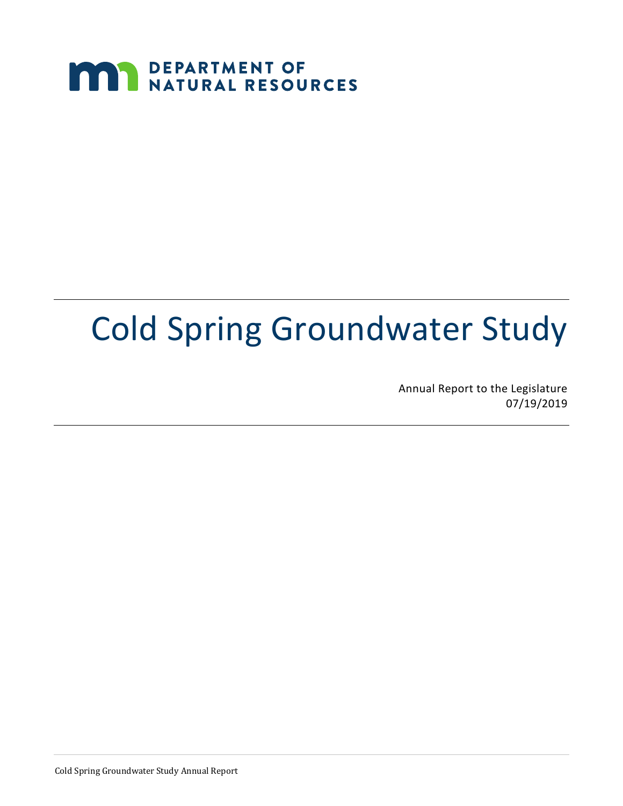## **MAN DEPARTMENT OF NATURAL RESOURCES**

# Cold Spring Groundwater Study

Annual Report to the Legislature 07/19/2019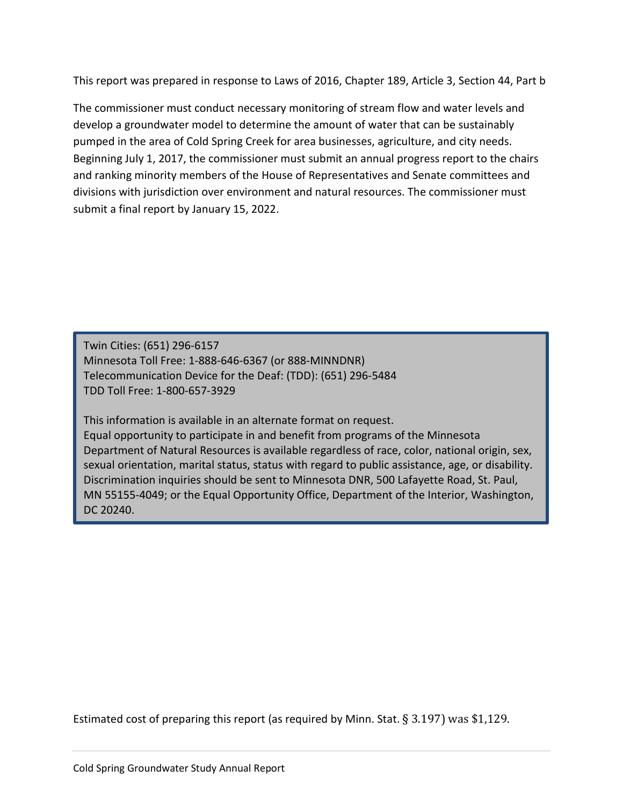This report was prepared in response to Laws of 2016, Chapter 189, Article 3, Section 44, Part b

The commissioner must conduct necessary monitoring of stream flow and water levels and develop a groundwater model to determine the amount of water that can be sustainably pumped in the area of Cold Spring Creek for area businesses, agriculture, and city needs. Beginning July 1, 2017, the commissioner must submit an annual progress report to the chairs and ranking minority members of the House of Representatives and Senate committees and divisions with jurisdiction over environment and natural resources. The commissioner must submit a final report by January 15, 2022.

Twin Cities: (651) 296-6157 Minnesota Toll Free: 1-888-646-6367 (or 888-MINNDNR) Telecommunication Device for the Deaf: (TDD): (651) 296-5484 TDD Toll Free: 1-800-657-3929

This information is available in an alternate format on request.

Equal opportunity to participate in and benefit from programs of the Minnesota Department of Natural Resources is available regardless of race, color, national origin, sex, sexual orientation, marital status, status with regard to public assistance, age, or disability. Discrimination inquiries should be sent to Minnesota DNR, 500 Lafayette Road, St. Paul, MN 55155-4049; or the Equal Opportunity Office, Department of the Interior, Washington, DC 20240.

Estimated cost of preparing this report (as required by Minn. Stat. § 3.197) was \$1,129.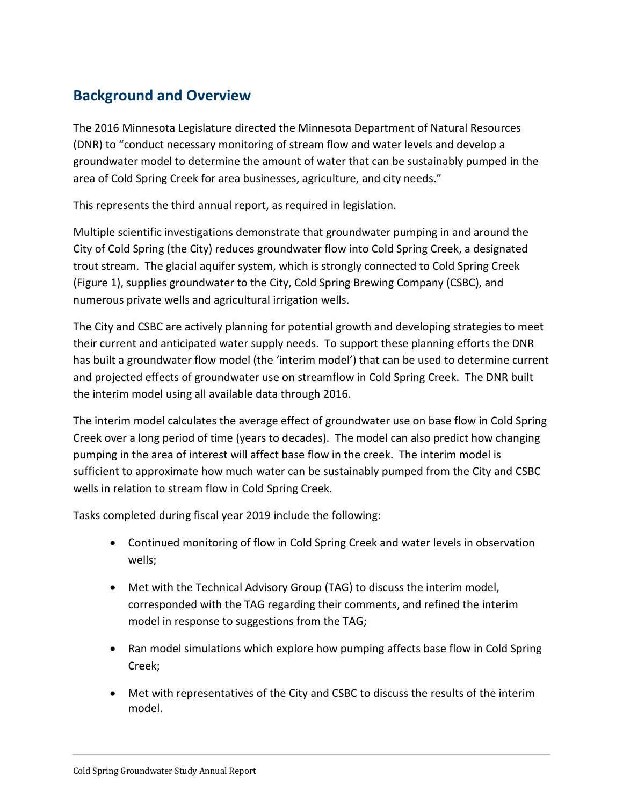### **Background and Overview**

The 2016 Minnesota Legislature directed the Minnesota Department of Natural Resources (DNR) to "conduct necessary monitoring of stream flow and water levels and develop a groundwater model to determine the amount of water that can be sustainably pumped in the area of Cold Spring Creek for area businesses, agriculture, and city needs."

This represents the third annual report, as required in legislation.

Multiple scientific investigations demonstrate that groundwater pumping in and around the City of Cold Spring (the City) reduces groundwater flow into Cold Spring Creek, a designated trout stream. The glacial aquifer system, which is strongly connected to Cold Spring Creek (Figure 1), supplies groundwater to the City, Cold Spring Brewing Company (CSBC), and numerous private wells and agricultural irrigation wells.

The City and CSBC are actively planning for potential growth and developing strategies to meet their current and anticipated water supply needs. To support these planning efforts the DNR has built a groundwater flow model (the 'interim model') that can be used to determine current and projected effects of groundwater use on streamflow in Cold Spring Creek. The DNR built the interim model using all available data through 2016.

The interim model calculates the average effect of groundwater use on base flow in Cold Spring Creek over a long period of time (years to decades). The model can also predict how changing pumping in the area of interest will affect base flow in the creek. The interim model is sufficient to approximate how much water can be sustainably pumped from the City and CSBC wells in relation to stream flow in Cold Spring Creek.

Tasks completed during fiscal year 2019 include the following:

- Continued monitoring of flow in Cold Spring Creek and water levels in observation wells;
- Met with the Technical Advisory Group (TAG) to discuss the interim model, corresponded with the TAG regarding their comments, and refined the interim model in response to suggestions from the TAG;
- Ran model simulations which explore how pumping affects base flow in Cold Spring Creek;
- Met with representatives of the City and CSBC to discuss the results of the interim model.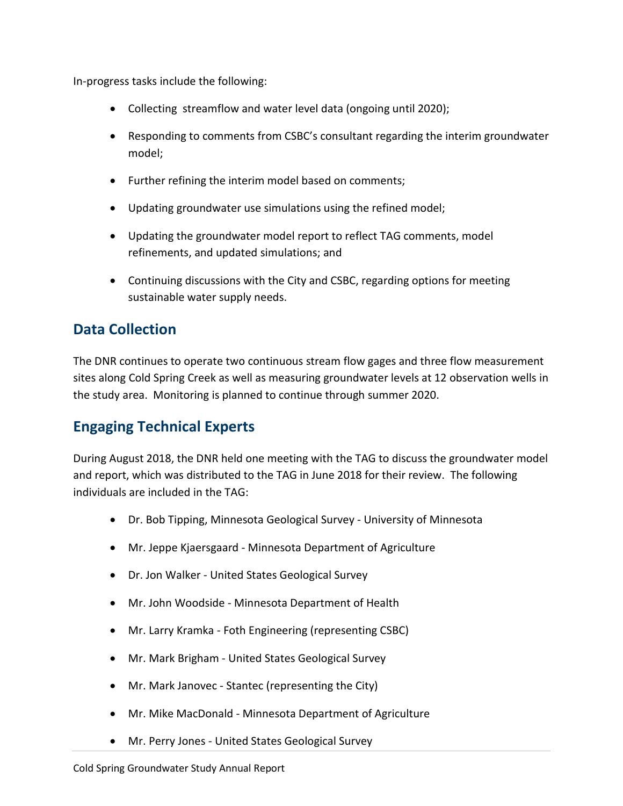In-progress tasks include the following:

- Collecting streamflow and water level data (ongoing until 2020);
- Responding to comments from CSBC's consultant regarding the interim groundwater model;
- Further refining the interim model based on comments;
- Updating groundwater use simulations using the refined model;
- Updating the groundwater model report to reflect TAG comments, model refinements, and updated simulations; and
- Continuing discussions with the City and CSBC, regarding options for meeting sustainable water supply needs.

### **Data Collection**

The DNR continues to operate two continuous stream flow gages and three flow measurement sites along Cold Spring Creek as well as measuring groundwater levels at 12 observation wells in the study area. Monitoring is planned to continue through summer 2020.

#### **Engaging Technical Experts**

During August 2018, the DNR held one meeting with the TAG to discuss the groundwater model and report, which was distributed to the TAG in June 2018 for their review. The following individuals are included in the TAG:

- Dr. Bob Tipping, Minnesota Geological Survey University of Minnesota
- Mr. Jeppe Kjaersgaard Minnesota Department of Agriculture
- Dr. Jon Walker United States Geological Survey
- Mr. John Woodside Minnesota Department of Health
- Mr. Larry Kramka Foth Engineering (representing CSBC)
- Mr. Mark Brigham United States Geological Survey
- Mr. Mark Janovec Stantec (representing the City)
- Mr. Mike MacDonald Minnesota Department of Agriculture
- Mr. Perry Jones United States Geological Survey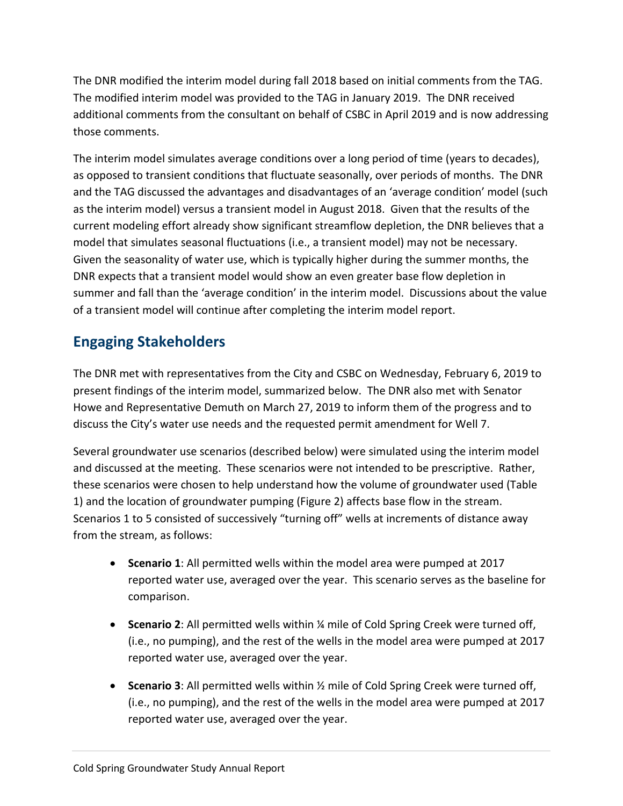The DNR modified the interim model during fall 2018 based on initial comments from the TAG. The modified interim model was provided to the TAG in January 2019. The DNR received additional comments from the consultant on behalf of CSBC in April 2019 and is now addressing those comments.

The interim model simulates average conditions over a long period of time (years to decades), as opposed to transient conditions that fluctuate seasonally, over periods of months. The DNR and the TAG discussed the advantages and disadvantages of an 'average condition' model (such as the interim model) versus a transient model in August 2018. Given that the results of the current modeling effort already show significant streamflow depletion, the DNR believes that a model that simulates seasonal fluctuations (i.e., a transient model) may not be necessary. Given the seasonality of water use, which is typically higher during the summer months, the DNR expects that a transient model would show an even greater base flow depletion in summer and fall than the 'average condition' in the interim model. Discussions about the value of a transient model will continue after completing the interim model report.

### **Engaging Stakeholders**

The DNR met with representatives from the City and CSBC on Wednesday, February 6, 2019 to present findings of the interim model, summarized below. The DNR also met with Senator Howe and Representative Demuth on March 27, 2019 to inform them of the progress and to discuss the City's water use needs and the requested permit amendment for Well 7.

Several groundwater use scenarios (described below) were simulated using the interim model and discussed at the meeting. These scenarios were not intended to be prescriptive. Rather, these scenarios were chosen to help understand how the volume of groundwater used (Table 1) and the location of groundwater pumping (Figure 2) affects base flow in the stream. Scenarios 1 to 5 consisted of successively "turning off" wells at increments of distance away from the stream, as follows:

- **Scenario 1**: All permitted wells within the model area were pumped at 2017 reported water use, averaged over the year. This scenario serves as the baseline for comparison.
- **Scenario 2**: All permitted wells within ¼ mile of Cold Spring Creek were turned off, (i.e., no pumping), and the rest of the wells in the model area were pumped at 2017 reported water use, averaged over the year.
- **Scenario 3**: All permitted wells within ½ mile of Cold Spring Creek were turned off, (i.e., no pumping), and the rest of the wells in the model area were pumped at 2017 reported water use, averaged over the year.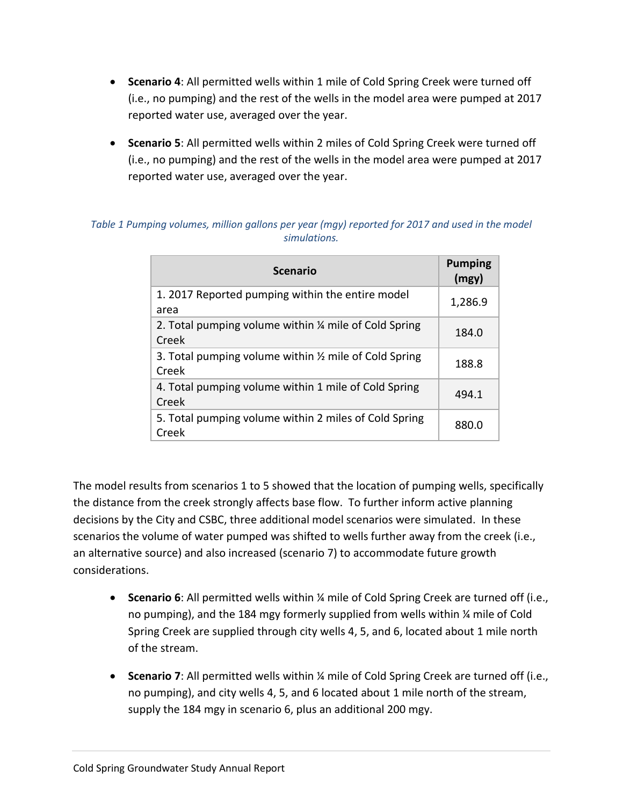- **Scenario 4**: All permitted wells within 1 mile of Cold Spring Creek were turned off (i.e., no pumping) and the rest of the wells in the model area were pumped at 2017 reported water use, averaged over the year.
- **Scenario 5**: All permitted wells within 2 miles of Cold Spring Creek were turned off (i.e., no pumping) and the rest of the wells in the model area were pumped at 2017 reported water use, averaged over the year.

|  | <b>Scenario</b>                                                 | <b>Pumping</b><br>(mgy) |
|--|-----------------------------------------------------------------|-------------------------|
|  | 1. 2017 Reported pumping within the entire model<br>area        | 1,286.9                 |
|  | 2. Total pumping volume within 1/4 mile of Cold Spring<br>Creek | 184.0                   |
|  | 3. Total pumping volume within 1/2 mile of Cold Spring<br>Creek | 188.8                   |
|  | 4. Total pumping volume within 1 mile of Cold Spring<br>Creek   | 494.1                   |
|  | 5. Total pumping volume within 2 miles of Cold Spring<br>Creek  | 880.0                   |

#### *Table 1 Pumping volumes, million gallons per year (mgy) reported for 2017 and used in the model simulations.*

The model results from scenarios 1 to 5 showed that the location of pumping wells, specifically the distance from the creek strongly affects base flow. To further inform active planning decisions by the City and CSBC, three additional model scenarios were simulated. In these scenarios the volume of water pumped was shifted to wells further away from the creek (i.e., an alternative source) and also increased (scenario 7) to accommodate future growth considerations.

- **Scenario 6**: All permitted wells within ¼ mile of Cold Spring Creek are turned off (i.e., no pumping), and the 184 mgy formerly supplied from wells within ¼ mile of Cold Spring Creek are supplied through city wells 4, 5, and 6, located about 1 mile north of the stream.
- **Scenario 7**: All permitted wells within ¼ mile of Cold Spring Creek are turned off (i.e., no pumping), and city wells 4, 5, and 6 located about 1 mile north of the stream, supply the 184 mgy in scenario 6, plus an additional 200 mgy.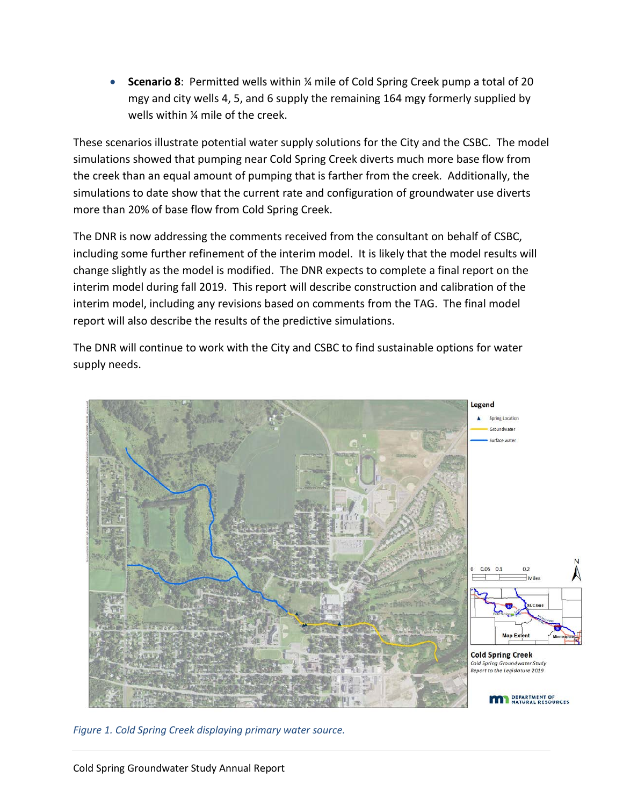• **Scenario 8**: Permitted wells within ¼ mile of Cold Spring Creek pump a total of 20 mgy and city wells 4, 5, and 6 supply the remaining 164 mgy formerly supplied by wells within ¼ mile of the creek.

These scenarios illustrate potential water supply solutions for the City and the CSBC. The model simulations showed that pumping near Cold Spring Creek diverts much more base flow from the creek than an equal amount of pumping that is farther from the creek. Additionally, the simulations to date show that the current rate and configuration of groundwater use diverts more than 20% of base flow from Cold Spring Creek.

The DNR is now addressing the comments received from the consultant on behalf of CSBC, including some further refinement of the interim model. It is likely that the model results will change slightly as the model is modified. The DNR expects to complete a final report on the interim model during fall 2019. This report will describe construction and calibration of the interim model, including any revisions based on comments from the TAG. The final model report will also describe the results of the predictive simulations.

The DNR will continue to work with the City and CSBC to find sustainable options for water supply needs.



*Figure 1. Cold Spring Creek displaying primary water source.*